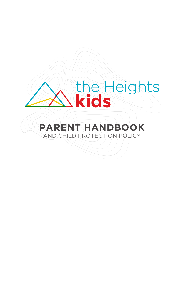# the Heights

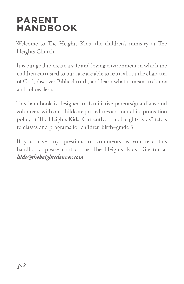## **PARENT HANDBOOK**

Welcome to The Heights Kids, the children's ministry at The Heights Church.

It is our goal to create a safe and loving environment in which the children entrusted to our care are able to learn about the character of God, discover Biblical truth, and learn what it means to know and follow Jesus.

This handbook is designed to familiarize parents/guardians and volunteers with our childcare procedures and our child protection policy at The Heights Kids. Currently, "The Heights Kids" refers to classes and programs for children birth–grade 3.

If you have any questions or comments as you read this handbook, please contact the The Heights Kids Director at *kids@theheightsdenver.com*.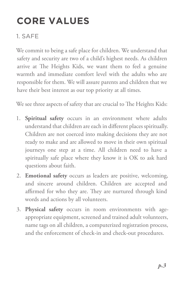## **CORE VALUES**

#### 1. SAFE

We commit to being a safe place for children. We understand that safety and security are two of a child's highest needs. As children arrive at The Heights Kids, we want them to feel a genuine warmth and immediate comfort level with the adults who are responsible for them. We will assure parents and children that we have their best interest as our top priority at all times.

We see three aspects of safety that are crucial to The Heights Kids:

- 1. **Spiritual safety** occurs in an environment where adults understand that children are each in different places spiritually. Children are not coerced into making decisions they are not ready to make and are allowed to move in their own spiritual journeys one step at a time. All children need to have a spiritually safe place where they know it is OK to ask hard questions about faith.
- 2. **Emotional safety** occurs as leaders are positive, welcoming, and sincere around children. Children are accepted and affirmed for who they are. They are nurtured through kind words and actions by all volunteers.
- 3. **Physical safety** occurs in room environments with ageappropriate equipment, screened and trained adult volunteers, name tags on all children, a computerized registration process, and the enforcement of check-in and check-out procedures.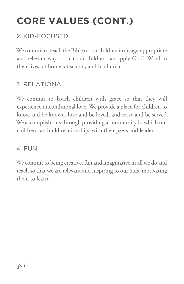# **CORE VALUES (CONT.)**

#### 2. KID-FOCUSED

We commit to teach the Bible to our children in an age-appropriate and relevant way so that our children can apply God's Word in their lives, at home, at school, and in church.

#### 3. RELATIONAL

We commit to lavish children with grace so that they will experience unconditional love. We provide a place for children to know and be known, love and be loved, and serve and be served. We accomplish this through providing a community in which our children can build relationships with their peers and leaders.

#### 4. FUN

We commit to being creative, fun and imaginative in all we do and teach so that we are relevant and inspiring to our kids, motivating them to learn.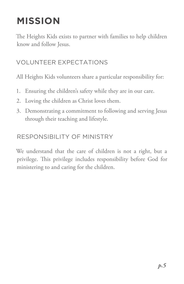## **MISSION**

The Heights Kids exists to partner with families to help children know and follow Jesus.

#### VOLUNTEER EXPECTATIONS

All Heights Kids volunteers share a particular responsibility for:

- 1. Ensuring the children's safety while they are in our care.
- 2. Loving the children as Christ loves them.
- 3. Demonstrating a commitment to following and serving Jesus through their teaching and lifestyle.

#### RESPONSIBILITY OF MINISTRY

We understand that the care of children is not a right, but a privilege. This privilege includes responsibility before God for ministering to and caring for the children.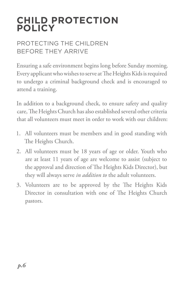## **CHILD PROTECTION POLICY**

#### PROTECTING THE CHILDREN BEFORE THEY ARRIVE

Ensuring a safe environment begins long before Sunday morning. Every applicant who wishes to serve at The Heights Kids is required to undergo a criminal background check and is encouraged to attend a training.

In addition to a background check, to ensure safety and quality care, The Heights Church has also established several other criteria that all volunteers must meet in order to work with our children:

- 1. All volunteers must be members and in good standing with The Heights Church.
- 2. All volunteers must be 18 years of age or older. Youth who are at least 11 years of age are welcome to assist (subject to the approval and direction of The Heights Kids Director), but they will always serve *in addition to* the adult volunteers.
- 3. Volunteers are to be approved by the The Heights Kids Director in consultation with one of The Heights Church pastors.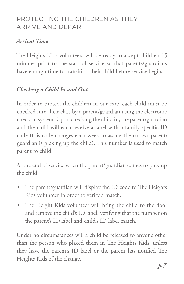#### PROTECTING THE CHILDREN AS THEY ARRIVE AND DEPART

#### *Arrival Time*

The Heights Kids volunteers will be ready to accept children 15 minutes prior to the start of service so that parents/guardians have enough time to transition their child before service begins.

#### *Checking a Child In and Out*

In order to protect the children in our care, each child must be checked into their class by a parent/guardian using the electronic check-in system. Upon checking the child in, the parent/guardian and the child will each receive a label with a family-specific ID code (this code changes each week to assure the correct parent/ guardian is picking up the child). This number is used to match parent to child.

At the end of service when the parent/guardian comes to pick up the child:

- The parent/guardian will display the ID code to The Heights Kids volunteer in order to verify a match.
- The Height Kids volunteer will bring the child to the door and remove the child's ID label, verifying that the number on the parent's ID label and child's ID label match.

Under no circumstances will a child be released to anyone other than the person who placed them in The Heights Kids, unless they have the parent's ID label or the parent has notified The Heights Kids of the change.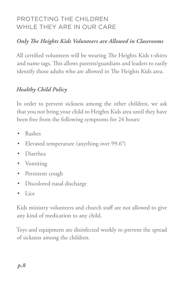#### PROTECTING THE CHILDREN WHILE THEY ARE IN OUR CARE

#### *Only The Heights Kids Volunteers are Allowed in Classrooms*

All certified volunteers will be wearing The Heights Kids t-shirts and name tags. This allows parents/guardians and leaders to easily identify those adults who are allowed in The Heights Kids area.

#### *Healthy Child Policy*

In order to prevent sickness among the other children, we ask that you not bring your child to Heights Kids area until they have been free from the following symptoms for 24 hours:

- Rashes
- Elevated temperature (anything over 99.6°)
- Diarrhea
- Vomiting
- Persistent cough
- Discolored nasal discharge
- Lice

Kids ministry volunteers and church staff are not allowed to give any kind of medication to any child.

Toys and equipment are disinfected weekly to prevent the spread of sickness among the children.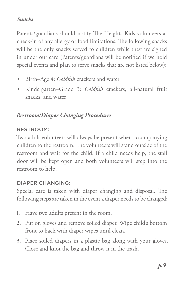#### *Snacks*

Parents/guardians should notify The Heights Kids volunteers at check-in of any allergy or food limitations. The following snacks will be the only snacks served to children while they are signed in under our care (Parents/guardians will be notified if we hold special events and plan to serve snacks that are not listed below):

- Birth–Age 4: *Goldfish* crackers and water
- Kindergarten–Grade 3: *Goldfish* crackers, all-natural fruit snacks, and water

#### *Restroom/Diaper Changing Procedures*

#### RESTROOM:

Two adult volunteers will always be present when accompanying children to the restroom. The volunteers will stand outside of the restroom and wait for the child. If a child needs help, the stall door will be kept open and both volunteers will step into the restroom to help.

#### DIAPER CHANGING:

Special care is taken with diaper changing and disposal. The following steps are taken in the event a diaper needs to be changed:

- 1. Have two adults present in the room.
- 2. Put on gloves and remove soiled diaper. Wipe child's bottom front to back with diaper wipes until clean.
- 3. Place soiled diapers in a plastic bag along with your gloves. Close and knot the bag and throw it in the trash.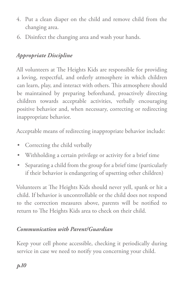- 4. Put a clean diaper on the child and remove child from the changing area.
- 6. Disinfect the changing area and wash your hands.

#### *Appropriate Discipline*

All volunteers at The Heights Kids are responsible for providing a loving, respectful, and orderly atmosphere in which children can learn, play, and interact with others. This atmosphere should be maintained by preparing beforehand, proactively directing children towards acceptable activities, verbally encouraging positive behavior and, when necessary, correcting or redirecting inappropriate behavior.

Acceptable means of redirecting inappropriate behavior include:

- Correcting the child verbally
- Withholding a certain privilege or activity for a brief time
- Separating a child from the group for a brief time (particularly if their behavior is endangering of upsetting other children)

Volunteers at The Heights Kids should never yell, spank or hit a child. If behavior is uncontrollable or the child does not respond to the correction measures above, parents will be notified to return to The Heights Kids area to check on their child.

#### *Communication with Parent/Guardian*

Keep your cell phone accessible, checking it periodically during service in case we need to notify you concerning your child.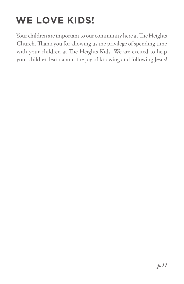## **WE LOVE KIDS!**

Your children are important to our community here at The Heights Church. Thank you for allowing us the privilege of spending time with your children at The Heights Kids. We are excited to help your children learn about the joy of knowing and following Jesus!